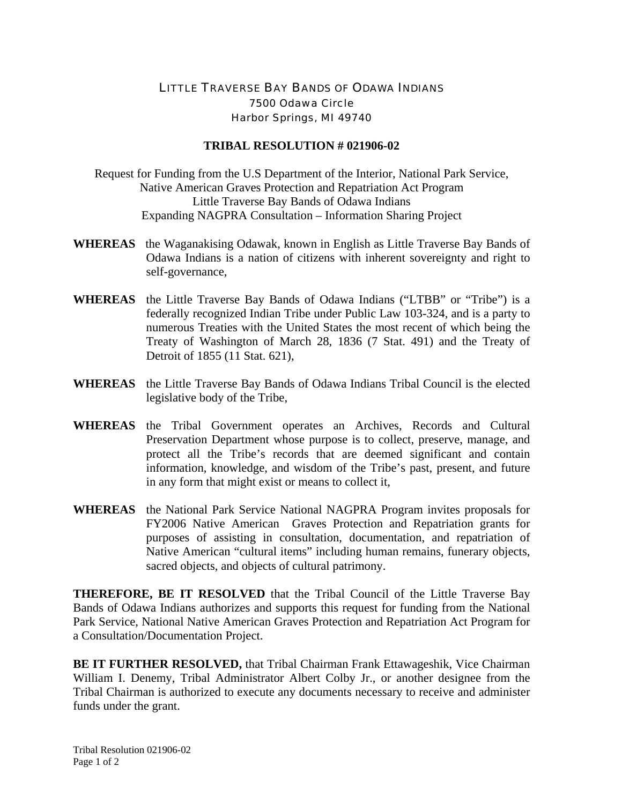## LITTLE TRAVERSE BAY BANDS OF ODAWA INDIANS 7500 Odawa Circle Harbor Springs, MI 49740

## **TRIBAL RESOLUTION # 021906-02**

Request for Funding from the U.S Department of the Interior, National Park Service, Native American Graves Protection and Repatriation Act Program Little Traverse Bay Bands of Odawa Indians Expanding NAGPRA Consultation – Information Sharing Project

- **WHEREAS** the Waganakising Odawak, known in English as Little Traverse Bay Bands of Odawa Indians is a nation of citizens with inherent sovereignty and right to self-governance,
- **WHEREAS** the Little Traverse Bay Bands of Odawa Indians ("LTBB" or "Tribe") is a federally recognized Indian Tribe under Public Law 103-324, and is a party to numerous Treaties with the United States the most recent of which being the Treaty of Washington of March 28, 1836 (7 Stat. 491) and the Treaty of Detroit of 1855 (11 Stat. 621),
- **WHEREAS** the Little Traverse Bay Bands of Odawa Indians Tribal Council is the elected legislative body of the Tribe,
- **WHEREAS** the Tribal Government operates an Archives, Records and Cultural Preservation Department whose purpose is to collect, preserve, manage, and protect all the Tribe's records that are deemed significant and contain information, knowledge, and wisdom of the Tribe's past, present, and future in any form that might exist or means to collect it,
- **WHEREAS** the National Park Service National NAGPRA Program invites proposals for FY2006 Native American Graves Protection and Repatriation grants for purposes of assisting in consultation, documentation, and repatriation of Native American "cultural items" including human remains, funerary objects, sacred objects, and objects of cultural patrimony.

**THEREFORE, BE IT RESOLVED** that the Tribal Council of the Little Traverse Bay Bands of Odawa Indians authorizes and supports this request for funding from the National Park Service, National Native American Graves Protection and Repatriation Act Program for a Consultation/Documentation Project.

**BE IT FURTHER RESOLVED,** that Tribal Chairman Frank Ettawageshik, Vice Chairman William I. Denemy, Tribal Administrator Albert Colby Jr., or another designee from the Tribal Chairman is authorized to execute any documents necessary to receive and administer funds under the grant.